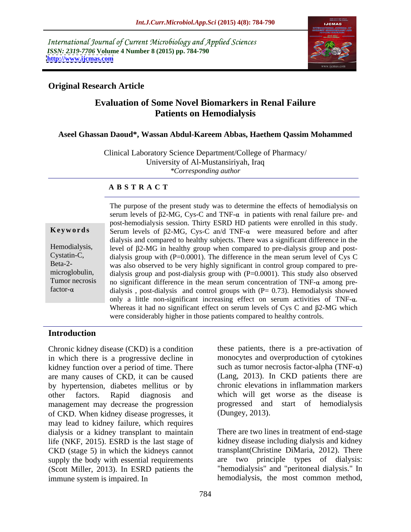International Journal of Current Microbiology and Applied Sciences *ISSN: 2319-7706* **Volume 4 Number 8 (2015) pp. 784-790 <http://www.ijcmas.com>**



### **Original Research Article**

## **Evaluation of Some Novel Biomarkers in Renal Failure Patients on Hemodialysis**

#### **Aseel Ghassan Daoud\*, Wassan Abdul-Kareem Abbas, Haethem Qassim Mohammed**

Clinical Laboratory Science Department/College of Pharmacy/ University of Al-Mustansiriyah, Iraq *\*Corresponding author*

#### **A B S T R A C T**

factor- $\alpha$ 

The purpose of the present study was to determine the effects of hemodialysis on serum levels of  $\beta$ 2-MG, Cys-C and TNF- $\alpha$  in patients with renal failure pre- and post-hemodialysis session. Thirty ESRD HD patients were enrolled in this study. **Keywords** Serum levels of  $\beta$ 2-MG, Cys-C an/d TNF- $\alpha$  were measured before and after dialysis and compared to healthy subjects. There was a significant difference in the Hemodialysis, level of  $\beta$ 2-MG in healthy group when compared to pre-dialysis group and post-Cystatin-C, dialysis group with  $(P=0.0001)$ . The difference in the mean serum level of Cys C Beta-2- was also observed to be very highly significant in control group compared to premicroglobulin, dialysis group and post-dialysis group with (P=0.0001). This study also observed Tumor necrosis no significant difference in the mean serum concentration of  $TNF-\alpha$  among predialysis, post-dialysis and control groups with  $(P= 0.73)$ . Hemodialysis showed only a little non-significant increasing effect on serum activities of  $TNF-\alpha$ . Whereas it had no significant effect on serum levels of Cys C and  $\beta$ 2-MG which were considerably higher in those patients compared to healthy controls.

#### **Introduction**

in which there is a progressive decline in kidney function over a period of time. There are many causes of CKD, it can be caused by hypertension, diabetes mellitus or by other factors. Rapid diagnosis and which will get worse as the disease is management may decrease the progression of CKD. When kidney disease progresses, it may lead to kidney failure, which requires dialysis or a kidney transplant to maintain There are two lines in treatment of end-stage life (NKF, 2015). ESRD is the last stage of CKD (stage 5) in which the kidneys cannot supply the body with essential requirements (Scott Miller, 2013). In ESRD patients the "hemodialysis" and "peritoneal dialysis." In immune system is impaired. In hemodialysis, the most common method,

Chronic kidney disease (CKD) is a condition these patients, there is a pre-activation of monocytes and overproduction of cytokines such as tumor necrosis factor-alpha (TNF- $\alpha$ ) (Lang, 2013). In CKD patients there are chronic elevations in inflammation markers progressed and start of hemodialysis

(Dungey, 2013).<br>There are two lines in treatment of end-stage kidney disease including dialysis and kidney transplant(Christine DiMaria, 2012). There are two principle types of dialysis: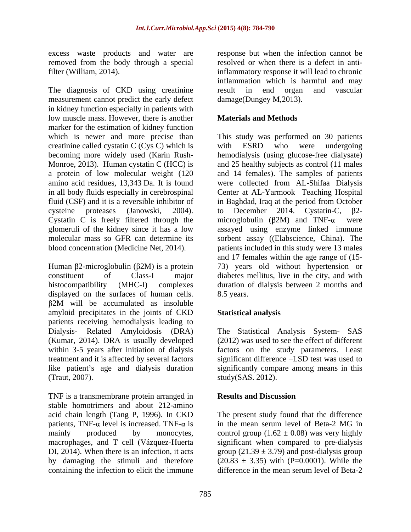excess waste products and water are

measurement cannot predict the early defect in kidney function especially in patients with low muscle mass. However, there is another marker for the estimation of kidney function creatinine called cystatin C (Cys C) which is with ESRD who were undergoing

displayed on the surfaces of human cells. 8.5 years. 2M will be accumulated as insoluble amyloid precipitates in the joints of CKD patients receiving hemodialysis leading to Dialysis- Related Amyloidosis (DRA) The Statistical Analysis System- SAS (Kumar, 2014). DRA is usually developed within 3-5 years after initiation of dialysis factors on the study parameters. Least treatment and it is affected by several factors significant difference LSD test was used to like patient's age and dialysis duration

TNF is a transmembrane protein arranged in **Results and Discussion** stable homotrimers and about 212-amino patients, TNF- $\alpha$  level is increased. TNF- $\alpha$  is in the mean serum level of Beta-2 MG in by damaging the stimuli and therefore containing the infection to elicit the immune difference in the mean serum level of Beta-2

removed from the body through a special resolved or when there is a defect in antifilter (William, 2014). The diagnosis of CKD using creatinine inflammation which is harmful and may frequency inflammation which is harmful and may result in end organ and vascular response but when the infection cannot be inflammatory response it will lead to chronic inflammation which is harmful and may result in end organ and vascular damage(Dungey M,2013).

### **Materials and Methods**

which is newer and more precise than This study was performed on 30 patients becoming more widely used (Karin Rush- hemodialysis (using glucose-free dialysate) Monroe, 2013). Human cystatin C (HCC) is and 25 healthy subjects as control (11 males a protein of low molecular weight (120 and 14 females). The samples of patients amino acid residues, 13,343 Da. It is found were collected from AL-Shifaa Dialysis in all body fluids especially in cerebrospinal Center at AL-Yarmook Teaching Hospital fluid (CSF) and it is a reversible inhibitor of in Baghdad, Iraq at the period from October cysteine proteases (Janowski, 2004). to December 2014. Cystatin-C,  $\beta$ 2-<br>Cystatin C is freely filtered through the microglobulin ( $\beta$ 2M) and TNF- $\alpha$  were glomeruli of the kidney since it has a low assayed using enzyme linked immune molecular mass so GFR can determine its sorbent assay ((Elabscience, China). The blood concentration (Medicine Net, 2014). patients included in this study were 13 males Human  $\beta$ 2-microglobulin ( $\beta$ 2M) is a protein  $\qquad \quad$  73) years old without hypertension or constituent of Class-I major diabetes mellitus, live in the city, and with histocompatibility (MHC-I) complexes duration of dialysis between 2 months and with ESRD who were undergoing to December 2014. Cystatin-C,  $\beta$ 2microglobulin ( $\beta$ 2M) and TNF- $\alpha$  were and 17 females within the age range of (15- 8.5 years.

## **Statistical analysis**

(Traut, 2007). study(SAS. 2012). (2012) was used to see the effect of different significantly compare among means in this

#### **Results and Discussion**

acid chain length (Tang P, 1996). In CKD The present study found that the difference mainly produced by monocytes, control group  $(1.62 \pm 0.08)$  was very highly macrophages, and T cell (Vázquez-Huerta significant when compared to pre-dialysis DI, 2014). When there is an infection, it acts group  $(21.39 \pm 3.79)$  and post-dialysis group in the mean serum level of Beta-2 MG in  $(20.83 \pm 3.35)$  with (P=0.0001). While the difference in the mean serum level of Beta-2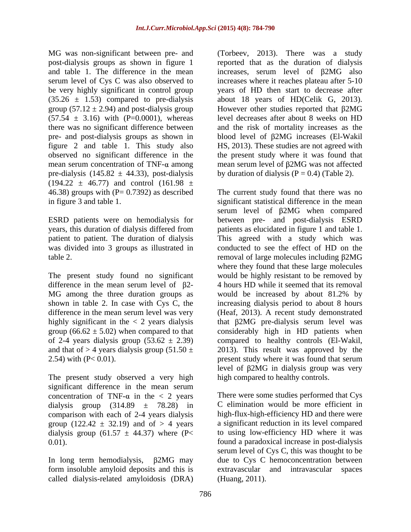be very highly significant in control group  $(35.26 \pm 1.53)$  compared to pre-dialysis about 18 years of HD(Celik G, 2013). group (57.12  $\pm$  2.94) and post-dialysis group However other studies reported that  $\beta$ 2MG  $(57.54 \pm 3.16)$  with (P=0.0001), whereas pre-dialysis (145.82  $\pm$  44.33), post-dialysis  $(194.22 \pm 46.77)$  and control  $(161.98 \pm 16.77)$ 

years, this duration of dialysis differed from patients as elucidated in figure 1 and table 1. patient to patient. The duration of dialysis This agreed with a study which was

The present study found no significant MG among the three duration groups as would be increased by about 81.2% by shown in table 2. In case with Cys C, the

The present study observed a very high significant difference in the mean serum dialysis group  $(314.89 \pm 78.28)$  in comparison with each of 2-4 years dialysis group (122.42  $\pm$  32.19) and of  $> 4$  years dialysis group (61.57  $\pm$  44.37) where (P<

form insoluble amyloid deposits and this is extravascular and intravascular spaces called dialysis-related amyloidosis (DRA)

MG was non-significant between pre- and (Torbeev, 2013). There was a study post-dialysis groups as shown in figure 1 reported that as the duration of dialysis and table 1. The difference in the mean increases, serum level of  $\beta$ 2MG also serum level of Cys C was also observed to increases where it reaches plateau after 5-10 there was no significant difference between and the risk of mortality increases as the pre- and post-dialysis groups as shown in blood level of 2MG increases (El-Wakil figure 2 and table 1. This study also HS, 2013). These studies are not agreed with observed no significant difference in the the present study where it was found that mean serum concentration of TNF- $\alpha$  among mean serum level of  $\beta$ 2MG was not affected years of HD then start to decrease after about 18 years of HD(Celik G, 2013).<br>However other studies reported that  $\beta$ 2MG level decreases after about 8 weeks on HD by duration of dialysis ( $P = 0.4$ ) (Table 2).

46.38) groups with (P= 0.7392) as described The current study found that there was no in figure 3 and table 1. Significant statistical difference in the mean ESRD patients were on hemodialysis for between pre- and post-dialysis ESRD was divided into 3 groups as illustrated in conducted to see the effect of HD on the table 2.  $r = r \cdot r \cdot r \cdot \frac{1}{r}$  removal of large molecules including  $\beta$ 2MG difference in the mean serum level of  $\beta$ 2- 4 hours HD while it seemed that its removal difference in the mean serum level was very (Heaf, 2013). A recent study demonstrated highly significant in the  $< 2$  years dialysis that  $\beta$ 2MG pre-dialysis serum level was group  $(66.62 \pm 5.02)$  when compared to that considerably high in HD patients when of 2-4 years dialysis group  $(53.62 \pm 2.39)$  compared to healthy controls (El-Wakil, and that of  $>$  4 years dialysis group (51.50  $\pm$  2013). This result was approved by the 2.54) with (P< 0.01). present study where it was found that serum serum level of  $\beta$ 2MG when compared patients as elucidated in figure <sup>1</sup> and table 1. This agreed with <sup>a</sup> study which was where they found that these large molecules would be highly resistant to be removed by would be increased by about 81.2% by increasing dialysis period to about 8 hours level of 2MG in dialysis group was very high compared to healthy controls.

concentration of TNF- $\alpha$  in the  $\langle 2 \rangle$  years There were some studies performed that Cys 0.01). found a paradoxical increase in post-dialysis In long term hemodialysis, 2MG may due to Cys C hemoconcentration between C elimination would be more efficient in high-flux-high-efficiency HD and there were a significant reduction in its level compared to using low-efficiency HD where it was serum level of Cys C, this was thought to be extravascular and intravascular spaces (Huang, 2011).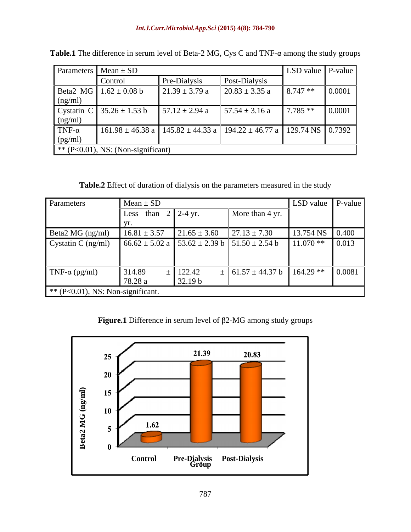| Parameters   Mean $\pm$ SD<br>$LSD$ value $\vert$ P-value |                                          |                    |                                                                                         |                 |        |  |
|-----------------------------------------------------------|------------------------------------------|--------------------|-----------------------------------------------------------------------------------------|-----------------|--------|--|
|                                                           | Control                                  | Pre-Dialysis       | Post-Dialysis                                                                           |                 |        |  |
| (ng/ml)                                                   | Beta2 MG $1.62 \pm 0.08$ b               | $21.39 \pm 3.79$ a | $20.83 \pm 3.35$ a                                                                      | $8.747**$       | 0.0001 |  |
|                                                           | Cystatin C $35.26 \pm 1.53$ b<br>(ng/ml) | $57.12 \pm 2.94$ a | $57.54 \pm 3.16$ a                                                                      | $\vert 7.785**$ | 0.0001 |  |
| TNF- $\alpha$<br>(pg/ml)                                  |                                          |                    | $161.98 \pm 46.38$ a   145.82 $\pm$ 44.33 a   194.22 $\pm$ 46.77 a   129.74 NS   0.7392 |                 |        |  |
| $*$ (P<0.01), NS: (Non-significant)                       |                                          |                    |                                                                                         |                 |        |  |

**Table.1** The difference in serum level of Beta-2 MG, Cys C and TNF- $\alpha$  among the study groups

**Table.2** Effect of duration of dialysis on the parameters measured in the study

| Parameters                         | $\blacksquare$ Mean $\pm$ SD    |                                                    |                                                                                            | LSD value   P-value     |                     |
|------------------------------------|---------------------------------|----------------------------------------------------|--------------------------------------------------------------------------------------------|-------------------------|---------------------|
|                                    | Less than $2 \parallel 2-4$ yr. |                                                    | More than 4 yr.                                                                            |                         |                     |
|                                    |                                 |                                                    |                                                                                            |                         |                     |
| Beta2 MG (ng/ml)                   |                                 | $16.81 \pm 3.57$ $21.65 \pm 3.60$ $27.13 \pm 7.30$ |                                                                                            | 13.754 NS $\vert$ 0.400 |                     |
| Cystatin C (ng/ml)                 |                                 |                                                    | $\big  66.62 \pm 5.02 \text{ a } \big  53.62 \pm 2.39 \text{ b } 51.50 \pm 2.54 \text{ b}$ | $11.070**$              | $\vert 0.013 \vert$ |
| TNF- $\alpha$ (pg/ml)              | 314.89<br>178.28a               | $=$ 122.42<br>32.19 b                              | $\pm$ 61.57 $\pm$ 44.37 b                                                                  | $164.29$ **             | 0.0081              |
| $*$ (P<0.01), NS: Non-significant. |                                 |                                                    |                                                                                            |                         |                     |

**Figure.1** Difference in serum level of  $\beta$ 2-MG among study groups

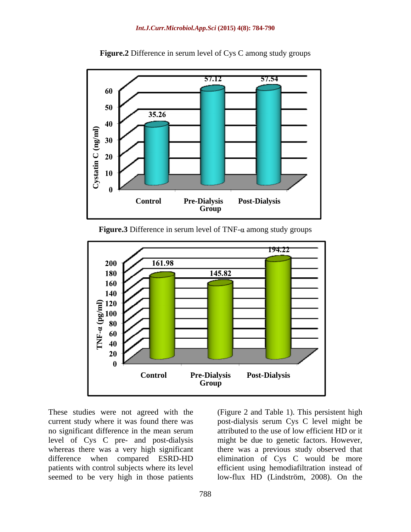

**Figure.2** Difference in serum level of Cys C among study groups

**Figure.3** Difference in serum level of TNF- $\alpha$  among study groups



level of Cys C pre- and post-dialysis seemed to be very high in those patients

These studies were not agreed with the (Figure 2 and Table 1). This persistent high current study where it was found there was post-dialysis serum Cys C level might be no significant difference in the mean serum attributed to the use of low efficient HD or it whereas there was a very high significant there was a previous study observed that difference when compared ESRD-HD elimination of Cys C would be more patients with control subjects where its level efficient using hemodiafiltration instead of might be due to genetic factors. However, low-flux HD (Lindström, 2008). On the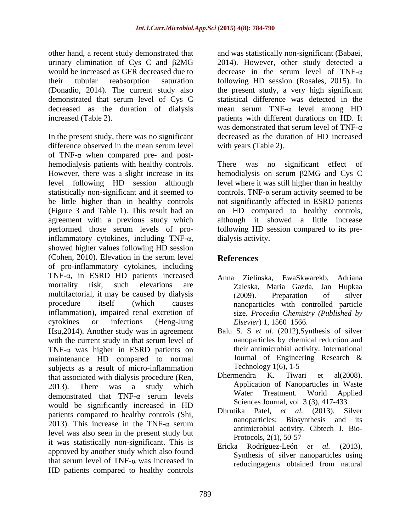other hand, a recent study demonstrated that urinary elimination of Cys C and  $\beta$ 2MG 2014). However, other study detected a would be increased as GFR decreased due to decrease in the serum level of TNF- $\alpha$ their tubular reabsorption saturation following HD session (Rosales, 2015). In (Donadio, 2014). The current study also the present study, a very high significant demonstrated that serum level of Cys C decreased as the duration of dialysis increased (Table 2). patients with different durations on HD. It

In the present study, there was no significant difference observed in the mean serum level of TNF- $\alpha$  when compared pre- and posthemodialysis patients with healthy controls. There was However, there was a slight increase in its hemodialysis on serum  $\beta$ 2MG and Cys C level following HD session although level where it was still higher than in healthy statistically non-significant and it seemed to  $\qquad$  controls. TNF- $\alpha$  serum activity seemed to be be little higher than in healthy controls not significantly affected in ESRD patients (Figure 3 and Table 1). This result had an on HD compared to healthy controls, agreement with a previous study which performed those serum levels of pro-following HD session compared to its pre inflammatory cytokines, including TNF- $\alpha$ , showed higher values following HD session (Cohen, 2010). Elevation in the serum level References of pro-inflammatory cytokines, including TNF- $\alpha$ , in ESRD HD patients increased  $\alpha$  Anna Zielinska. EwaSkwarekb. Adriana mortality risk, such elevations are Zaleska, Maria Gazda, Jan Hupkaa multifactorial, it may be caused by dialysis (2009). Preparation of silver procedure itself (which causes nanoparticles with controlled particle inflammation), impaired renal excretion of cytokines or infections (Heng-Jung Hsu,2014). Another study was in agreement with the current study in that serum level of  $TNF-\alpha$  was higher in ESRD patients on their antimicrobial activity. International maintenance  $HD$  compared to normal Journal of Engineering Research & maintenance HD compared to normal Journal of Enginee<br>subjects as a result of micro-inflammation Technology 1(6), 1-5 subjects as a result of micro-inflammation<br>that associated with dialysis procedure (Ren Dhermendra K. Tiwari et al(2008). that associated with dialysis procedure (Ren, 2013). There was a study which  $\frac{Application\ of\ Nanoparticles\ in\ Waste}{\pi}$ demonstrated that  $TNF-\alpha$  serum levels water I reatment. World Applied would be significantly increased in HD patients compared to healthy controls (Shi, 2013). This increase in the TNF- $\alpha$  serum antimized activity. City Letter L Die level was also seen in the present study but<br>Protocols, 2(1), 50-57 it was statistically non-significant. This is<br>Ericka Rodríguez-León et al. (2013), approved by another study which also found that serum level of  $TNF-\alpha$  was increased in  $\alpha$  reducing agents obtained from natural HD patients compared to healthy controls

and was statistically non-significant (Babaei, decrease in the serum level of TNF- $\alpha$ statistical difference was detected in the mean serum  $TNF-\alpha$  level among HD was demonstrated that serum level of TNF- $\alpha$ decreased as the duration of HD increased with years (Table 2).

no significant effect of although it showed a little increase dialysis activity.

# **References**

- Anna Zielinska, EwaSkwarekb, (2009). Preparation of silver size. *Procedia Chemistry (Published by Elsevier*) 1, 1560–1566.
- Balu S. S *et al.* (2012),Synthesis of silver nanoparticles by chemical reduction and their antimicrobial activity. International Journal of Engineering Research & Technology 1(6), 1-5
- Dhermendra K. Tiwari et al(2008). Application of Nanoparticles in Waste Water Treatment. World Applied Sciences Journal, vol. 3 (3), 417-433
- Dhrutika Patel, *et al.* (2013). Silver nanoparticles: Biosynthesis and its antimicrobial activity. Cibtech J. Bio- Protocols, 2(1), 50-57
- Ericka Rodríguez-León et al. Synthesis of silver nanoparticles using reducingagents obtained from natural